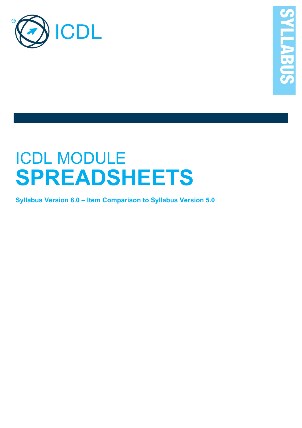

# ICDL MODULE **SPREADSHEETS**

**Syllabus Version 6.0 – Item Comparison to Syllabus Version 5.0**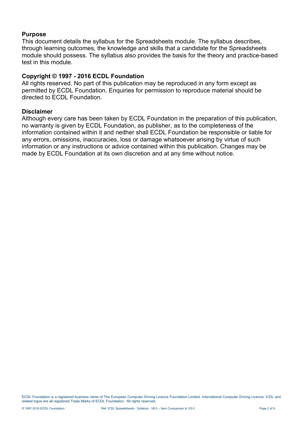#### **Purpose**

This document details the syllabus for the Spreadsheets module. The syllabus describes, through learning outcomes, the knowledge and skills that a candidate for the Spreadsheets module should possess. The syllabus also provides the basis for the theory and practice-based test in this module.

### **Copyright © 1997 - 2016 ECDL Foundation**

All rights reserved. No part of this publication may be reproduced in any form except as permitted by ECDL Foundation. Enquiries for permission to reproduce material should be directed to ECDL Foundation.

#### **Disclaimer**

Although every care has been taken by ECDL Foundation in the preparation of this publication, no warranty is given by ECDL Foundation, as publisher, as to the completeness of the information contained within it and neither shall ECDL Foundation be responsible or liable for any errors, omissions, inaccuracies, loss or damage whatsoever arising by virtue of such information or any instructions or advice contained within this publication. Changes may be made by ECDL Foundation at its own discretion and at any time without notice.

ECDL Foundation is a registered business name of The European Computer Driving Licence Foundation Limited. International Computer Driving Licence, ICDL and related logos are all registered Trade Marks of ECDL Foundation. All rights reserved.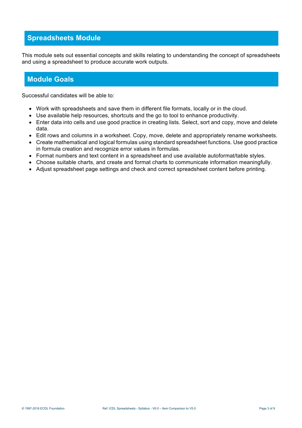## **Spreadsheets Module**

This module sets out essential concepts and skills relating to understanding the concept of spreadsheets and using a spreadsheet to produce accurate work outputs.

## **Module Goals**

Successful candidates will be able to:

- Work with spreadsheets and save them in different file formats, locally or in the cloud.
- Use available help resources, shortcuts and the go to tool to enhance productivity.
- Enter data into cells and use good practice in creating lists. Select, sort and copy, move and delete data.
- Edit rows and columns in a worksheet. Copy, move, delete and appropriately rename worksheets.
- Create mathematical and logical formulas using standard spreadsheet functions. Use good practice in formula creation and recognize error values in formulas.
- Format numbers and text content in a spreadsheet and use available autoformat/table styles.
- Choose suitable charts, and create and format charts to communicate information meaningfully.
- Adjust spreadsheet page settings and check and correct spreadsheet content before printing.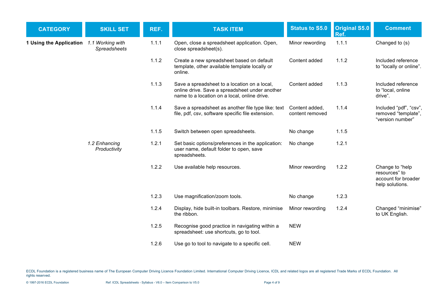| <b>CATEGORY</b>                          | <b>SKILL SET</b>              | REF.  | <b>TASK ITEM</b>                                                                                                                               | <b>Status to S5.0</b>             | <b>Original S5.0</b><br>Ref. | <b>Comment</b>                                                             |
|------------------------------------------|-------------------------------|-------|------------------------------------------------------------------------------------------------------------------------------------------------|-----------------------------------|------------------------------|----------------------------------------------------------------------------|
| 1 Using the Application 1.1 Working with | Spreadsheets                  | 1.1.1 | Open, close a spreadsheet application. Open,<br>close spreadsheet(s).                                                                          | Minor rewording                   | 1.1.1                        | Changed to (s)                                                             |
|                                          |                               | 1.1.2 | Create a new spreadsheet based on default<br>template, other available template locally or<br>online.                                          | Content added                     | 1.1.2                        | Included reference<br>to "locally or online".                              |
|                                          |                               | 1.1.3 | Save a spreadsheet to a location on a local,<br>online drive. Save a spreadsheet under another<br>name to a location on a local, online drive. | Content added                     | 1.1.3                        | Included reference<br>to "local, online<br>drive".                         |
|                                          |                               | 1.1.4 | Save a spreadsheet as another file type like: text<br>file, pdf, csv, software specific file extension.                                        | Content added,<br>content removed | 1.1.4                        | Included "pdf", "csv",<br>removed "template",<br>"version number"          |
|                                          |                               | 1.1.5 | Switch between open spreadsheets.                                                                                                              | No change                         | 1.1.5                        |                                                                            |
|                                          | 1.2 Enhancing<br>Productivity | 1.2.1 | Set basic options/preferences in the application:<br>user name, default folder to open, save<br>spreadsheets.                                  | No change                         | 1.2.1                        |                                                                            |
|                                          |                               | 1.2.2 | Use available help resources.                                                                                                                  | Minor rewording                   | 1.2.2                        | Change to "help<br>resources" to<br>account for broader<br>help solutions. |
|                                          |                               | 1.2.3 | Use magnification/zoom tools.                                                                                                                  | No change                         | 1.2.3                        |                                                                            |
|                                          |                               | 1.2.4 | Display, hide built-in toolbars. Restore, minimise<br>the ribbon.                                                                              | Minor rewording                   | 1.2.4                        | Changed "minimise"<br>to UK English.                                       |
|                                          |                               | 1.2.5 | Recognise good practice in navigating within a<br>spreadsheet: use shortcuts, go to tool.                                                      | <b>NEW</b>                        |                              |                                                                            |
|                                          |                               | 1.2.6 | Use go to tool to navigate to a specific cell.                                                                                                 | <b>NEW</b>                        |                              |                                                                            |

ECDL Foundation is a registered business name of The European Computer Driving Licence Foundation Limited. International Computer Driving Licence, ICDL and related logos are all registered Trade Marks of ECDL Foundation. A rights reserved.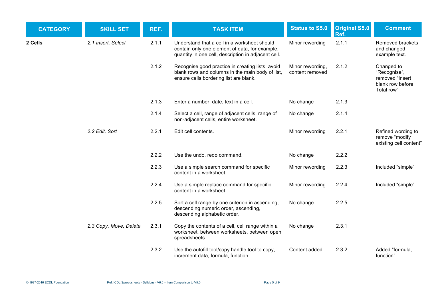| <b>CATEGORY</b> | <b>SKILL SET</b>       | REF.  | <b>TASK ITEM</b>                                                                                                                                      | <b>Status to S5.0</b>               | <b>Original S5.0</b><br>Ref. | <b>Comment</b>                                                                  |
|-----------------|------------------------|-------|-------------------------------------------------------------------------------------------------------------------------------------------------------|-------------------------------------|------------------------------|---------------------------------------------------------------------------------|
| 2 Cells         | 2.1 Insert, Select     | 2.1.1 | Understand that a cell in a worksheet should<br>contain only one element of data, for example,<br>quantity in one cell, description in adjacent cell. | Minor rewording                     | 2.1.1                        | Removed brackets<br>and changed<br>example text.                                |
|                 |                        | 2.1.2 | Recognise good practice in creating lists: avoid<br>blank rows and columns in the main body of list,<br>ensure cells bordering list are blank.        | Minor rewording,<br>content removed | 2.1.2                        | Changed to<br>"Recognise",<br>removed "insert<br>blank row before<br>Total row" |
|                 |                        | 2.1.3 | Enter a number, date, text in a cell.                                                                                                                 | No change                           | 2.1.3                        |                                                                                 |
|                 |                        | 2.1.4 | Select a cell, range of adjacent cells, range of<br>non-adjacent cells, entire worksheet.                                                             | No change                           | 2.1.4                        |                                                                                 |
|                 | 2.2 Edit, Sort         | 2.2.1 | Edit cell contents.                                                                                                                                   | Minor rewording                     | 2.2.1                        | Refined wording to<br>remove "modify<br>existing cell content"                  |
|                 |                        | 2.2.2 | Use the undo, redo command.                                                                                                                           | No change                           | 2.2.2                        |                                                                                 |
|                 |                        | 2.2.3 | Use a simple search command for specific<br>content in a worksheet.                                                                                   | Minor rewording                     | 2.2.3                        | Included "simple"                                                               |
|                 |                        | 2.2.4 | Use a simple replace command for specific<br>content in a worksheet.                                                                                  | Minor rewording                     | 2.2.4                        | Included "simple"                                                               |
|                 |                        | 2.2.5 | Sort a cell range by one criterion in ascending,<br>descending numeric order, ascending,<br>descending alphabetic order.                              | No change                           | 2.2.5                        |                                                                                 |
|                 | 2.3 Copy, Move, Delete | 2.3.1 | Copy the contents of a cell, cell range within a<br>worksheet, between worksheets, between open<br>spreadsheets.                                      | No change                           | 2.3.1                        |                                                                                 |
|                 |                        | 2.3.2 | Use the autofill tool/copy handle tool to copy,<br>increment data, formula, function.                                                                 | Content added                       | 2.3.2                        | Added "formula,<br>function"                                                    |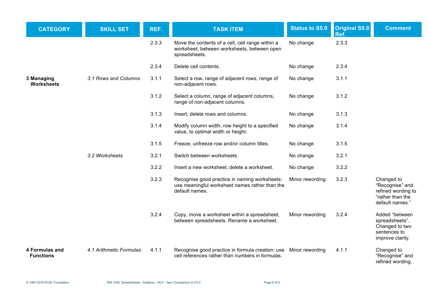| <b>CATEGORY</b>                    | <b>SKILL SET</b>        | REF.  | <b>TASK ITEM</b>                                                                                                     | <b>Status to S5.0</b> | Original S5.0<br>Ref. | <b>Comment</b>                                                                             |
|------------------------------------|-------------------------|-------|----------------------------------------------------------------------------------------------------------------------|-----------------------|-----------------------|--------------------------------------------------------------------------------------------|
|                                    |                         | 2.3.3 | Move the contents of a cell, cell range within a<br>worksheet, between worksheets, between open<br>spreadsheets.     | No change             | 2.3.3                 |                                                                                            |
|                                    |                         | 2.3.4 | Delete cell contents.                                                                                                | No change             | 2.3.4                 |                                                                                            |
| 3 Managing<br><b>Worksheets</b>    | 3.1 Rows and Columns    | 3.1.1 | Select a row, range of adjacent rows, range of<br>non-adjacent rows.                                                 | No change             | 3.1.1                 |                                                                                            |
|                                    |                         | 3.1.2 | Select a column, range of adjacent columns,<br>range of non-adjacent columns.                                        | No change             | 3.1.2                 |                                                                                            |
|                                    |                         | 3.1.3 | Insert, delete rows and columns.                                                                                     | No change             | 3.1.3                 |                                                                                            |
|                                    |                         | 3.1.4 | Modify column width, row height to a specified<br>value, to optimal width or height.                                 | No change             | 3.1.4                 |                                                                                            |
|                                    |                         | 3.1.5 | Freeze, unfreeze row and/or column titles.                                                                           | No change             | 3.1.5                 |                                                                                            |
|                                    | 3.2 Worksheets          | 3.2.1 | Switch between worksheets.                                                                                           | No change             | 3.2.1                 |                                                                                            |
|                                    |                         | 3.2.2 | Insert a new worksheet, delete a worksheet.                                                                          | No change             | 3.2.2                 |                                                                                            |
|                                    |                         | 3.2.3 | Recognise good practice in naming worksheets:<br>use meaningful worksheet names rather than the<br>default names.    | Minor rewording       | 3.2.3                 | Changed to<br>"Recognise" and<br>refined wording to<br>"rather than the<br>default names." |
|                                    |                         | 3.2.4 | Copy, move a worksheet within a spreadsheet,<br>between spreadsheets. Rename a worksheet.                            | Minor rewording       | 3.2.4                 | Added "between<br>spreadsheets".<br>Changed to two<br>sentences to<br>improve clarity.     |
| 4 Formulas and<br><b>Functions</b> | 4.1 Arithmetic Formulas | 4.1.1 | Recognise good practice in formula creation: use Minor rewording<br>cell references rather than numbers in formulas. |                       | 4.1.1                 | Changed to<br>"Recognise" and<br>refined wording.                                          |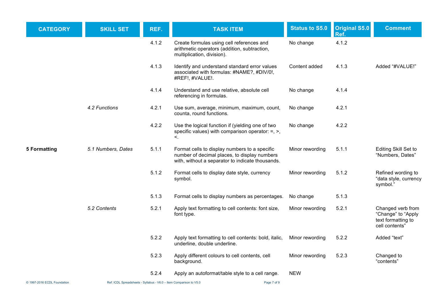| <b>CATEGORY</b>             | <b>SKILL SET</b>                                                   | REF.  | <b>TASK ITEM</b>                                                                                                                                  | <b>Status to S5.0</b> | Original S5.0<br>Ref. | <b>Comment</b>                                                                  |
|-----------------------------|--------------------------------------------------------------------|-------|---------------------------------------------------------------------------------------------------------------------------------------------------|-----------------------|-----------------------|---------------------------------------------------------------------------------|
|                             |                                                                    | 4.1.2 | Create formulas using cell references and<br>arithmetic operators (addition, subtraction,<br>multiplication, division).                           | No change             | 4.1.2                 |                                                                                 |
|                             |                                                                    | 4.1.3 | Identify and understand standard error values<br>associated with formulas: #NAME?, #DIV/0!,<br>#REF!, #VALUE!.                                    | Content added         | 4.1.3                 | Added "#VALUE!"                                                                 |
|                             |                                                                    | 4.1.4 | Understand and use relative, absolute cell<br>referencing in formulas.                                                                            | No change             | 4.1.4                 |                                                                                 |
|                             | 4.2 Functions                                                      | 4.2.1 | Use sum, average, minimum, maximum, count,<br>counta, round functions.                                                                            | No change             | 4.2.1                 |                                                                                 |
|                             |                                                                    | 4.2.2 | Use the logical function if (yielding one of two<br>specific values) with comparison operator: $=$ , $>$ ,<br>$\lt$ .                             | No change             | 4.2.2                 |                                                                                 |
| <b>5 Formatting</b>         | 5.1 Numbers, Dates                                                 | 5.1.1 | Format cells to display numbers to a specific<br>number of decimal places, to display numbers<br>with, without a separator to indicate thousands. | Minor rewording       | 5.1.1                 | Editing Skill Set to<br>"Numbers, Dates"                                        |
|                             |                                                                    | 5.1.2 | Format cells to display date style, currency<br>symbol.                                                                                           | Minor rewording       | 5.1.2                 | Refined wording to<br>"data style, currency<br>symbol."                         |
|                             |                                                                    | 5.1.3 | Format cells to display numbers as percentages.                                                                                                   | No change             | 5.1.3                 |                                                                                 |
|                             | 5.2 Contents                                                       | 5.2.1 | Apply text formatting to cell contents: font size,<br>font type.                                                                                  | Minor rewording       | 5.2.1                 | Changed verb from<br>"Change" to "Apply<br>text formatting to<br>cell contents" |
|                             |                                                                    | 5.2.2 | Apply text formatting to cell contents: bold, italic,<br>underline, double underline.                                                             | Minor rewording       | 5.2.2                 | Added "text"                                                                    |
|                             |                                                                    | 5.2.3 | Apply different colours to cell contents, cell<br>background.                                                                                     | Minor rewording       | 5.2.3                 | Changed to<br>"contents"                                                        |
|                             |                                                                    | 5.2.4 | Apply an autoformat/table style to a cell range.                                                                                                  | <b>NEW</b>            |                       |                                                                                 |
| © 1997-2016 ECDL Foundation | Ref: ICDL Spreadsheets - Syllabus - V6.0 - Item Comparison to V5.0 |       | Page 7 of 9                                                                                                                                       |                       |                       |                                                                                 |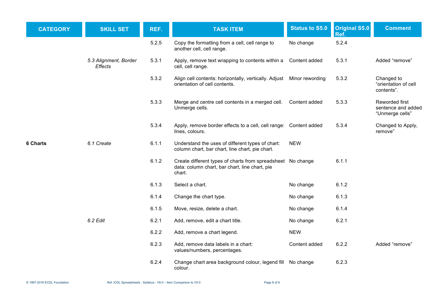| <b>CATEGORY</b> | <b>SKILL SET</b>                        | REF.  | <b>TASK ITEM</b>                                                                                                        | <b>Status to S5.0</b> | Original S5.0<br>Ref. | <b>Comment</b>                                          |
|-----------------|-----------------------------------------|-------|-------------------------------------------------------------------------------------------------------------------------|-----------------------|-----------------------|---------------------------------------------------------|
|                 |                                         | 5.2.5 | Copy the formatting from a cell, cell range to<br>another cell, cell range.                                             | No change             | 5.2.4                 |                                                         |
|                 | 5.3 Alignment, Border<br><b>Effects</b> | 5.3.1 | Apply, remove text wrapping to contents within a<br>cell, cell range.                                                   | Content added         | 5.3.1                 | Added "remove"                                          |
|                 |                                         | 5.3.2 | Align cell contents: horizontally, vertically. Adjust<br>orientation of cell contents.                                  | Minor rewording       | 5.3.2                 | Changed to<br>"orientation of cell<br>contents".        |
|                 |                                         | 5.3.3 | Merge and centre cell contents in a merged cell.<br>Unmerge cells.                                                      | Content added         | 5.3.3                 | Reworded first<br>sentence and added<br>"Unmerge cells" |
|                 |                                         | 5.3.4 | Apply, remove border effects to a cell, cell range: Content added<br>lines, colours.                                    |                       | 5.3.4                 | Changed to Apply,<br>remove"                            |
| 6 Charts        | 6.1 Create                              | 6.1.1 | Understand the uses of different types of chart:<br>column chart, bar chart, line chart, pie chart.                     | <b>NEW</b>            |                       |                                                         |
|                 |                                         | 6.1.2 | Create different types of charts from spreadsheet No change<br>data: column chart, bar chart, line chart, pie<br>chart. |                       | 6.1.1                 |                                                         |
|                 |                                         | 6.1.3 | Select a chart.                                                                                                         | No change             | 6.1.2                 |                                                         |
|                 |                                         | 6.1.4 | Change the chart type.                                                                                                  | No change             | 6.1.3                 |                                                         |
|                 |                                         | 6.1.5 | Move, resize, delete a chart.                                                                                           | No change             | 6.1.4                 |                                                         |
|                 | 6.2 Edit                                | 6.2.1 | Add, remove, edit a chart title.                                                                                        | No change             | 6.2.1                 |                                                         |
|                 |                                         | 6.2.2 | Add, remove a chart legend.                                                                                             | <b>NEW</b>            |                       |                                                         |
|                 |                                         | 6.2.3 | Add, remove data labels in a chart:<br>values/numbers, percentages.                                                     | Content added         | 6.2.2                 | Added "remove"                                          |
|                 |                                         | 6.2.4 | Change chart area background colour, legend fill<br>colour.                                                             | No change             | 6.2.3                 |                                                         |